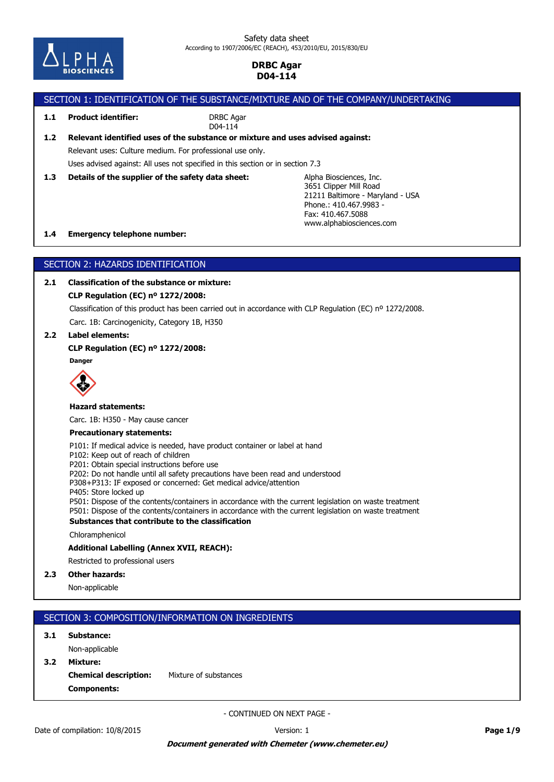

# SECTION 1: IDENTIFICATION OF THE SUBSTANCE/MIXTURE AND OF THE COMPANY/UNDERTAKING

**1.1 Product identifier:**

DRBC Agar D04-114

# **1.2 Relevant identified uses of the substance or mixture and uses advised against:**

Relevant uses: Culture medium. For professional use only.

Uses advised against: All uses not specified in this section or in section 7.3

**1.3 Details of the supplier of the safety data sheet:**

Alpha Biosciences, Inc. 3651 Clipper Mill Road 21211 Baltimore - Maryland - USA Phone.: 410.467.9983-Fax: 410.467.5088 www.alphabiosciences.com

### **1.4 Emergency telephone number:**

# SECTION 2: HAZARDS IDENTIFICATION

# **2.1 Classification of the substance or mixture:**

### **CLP Regulation (EC) nº 1272/2008:**

Classification of this product has been carried out in accordance with CLP Regulation (EC) nº 1272/2008.

Carc. 1B: Carcinogenicity, Category 1B, H350

### **2.2 Label elements:**

### **CLP Regulation (EC) nº 1272/2008:**

**Danger**



#### **Hazard statements:**

Carc. 1B: H350 - May cause cancer

#### **Precautionary statements:**

P101: If medical advice is needed, have product container or label at hand

P102: Keep out of reach of children

P201: Obtain special instructions before use

P202: Do not handle until all safety precautions have been read and understood

P308+P313: IF exposed or concerned: Get medical advice/attention

P405: Store locked up

P501: Dispose of the contents/containers in accordance with the current legislation on waste treatment P501: Dispose of the contents/containers in accordance with the current legislation on waste treatment

### **Substances that contribute to the classification**

Chloramphenicol

### **Additional Labelling (Annex XVII, REACH):**

Restricted to professional users

### **2.3 Other hazards:**

Non-applicable

# SECTION 3: COMPOSITION/INFORMATION ON INGREDIENTS

### **3.1 Substance:**

**Components: Chemical description:** Mixture of substances **3.2 Mixture:** Non-applicable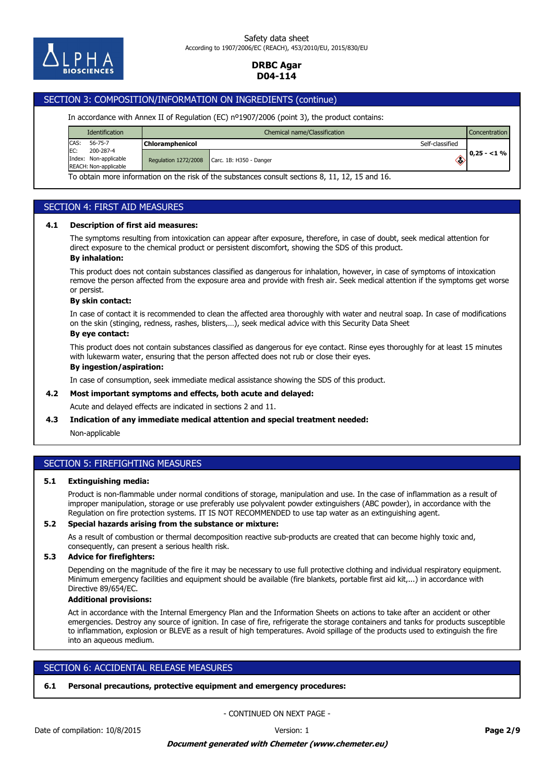

# SECTION 3: COMPOSITION/INFORMATION ON INGREDIENTS (continue)

#### In accordance with Annex II of Regulation (EC) nº1907/2006 (point 3), the product contains:

| <b>Identification</b>                                              | Chemical name/Classification |                                                                                                 |                 | <b>Concentration</b> |
|--------------------------------------------------------------------|------------------------------|-------------------------------------------------------------------------------------------------|-----------------|----------------------|
| CAS:<br>56-75-7                                                    | <b>Chloramphenicol</b>       |                                                                                                 | Self-classified |                      |
| EC:<br>200-287-4<br>Index: Non-applicable<br>REACH: Non-applicable | <b>Regulation 1272/2008</b>  | Carc. 1B: H350 - Danger                                                                         | ◈               | $0,25 - 1\%$         |
|                                                                    |                              | To obtain more information on the risk of the substances consult sections 8, 11, 12, 15 and 16. |                 |                      |

### SECTION 4: FIRST AID MEASURES

#### **4.1 Description of first aid measures:**

The symptoms resulting from intoxication can appear after exposure, therefore, in case of doubt, seek medical attention for direct exposure to the chemical product or persistent discomfort, showing the SDS of this product.

#### **By inhalation:**

This product does not contain substances classified as dangerous for inhalation, however, in case of symptoms of intoxication remove the person affected from the exposure area and provide with fresh air. Seek medical attention if the symptoms get worse or persist.

#### **By skin contact:**

In case of contact it is recommended to clean the affected area thoroughly with water and neutral soap. In case of modifications on the skin (stinging, redness, rashes, blisters,…), seek medical advice with this Security Data Sheet

#### **By eye contact:**

This product does not contain substances classified as dangerous for eye contact. Rinse eyes thoroughly for at least 15 minutes with lukewarm water, ensuring that the person affected does not rub or close their eyes.

#### **By ingestion/aspiration:**

In case of consumption, seek immediate medical assistance showing the SDS of this product.

### **4.2 Most important symptoms and effects, both acute and delayed:**

Acute and delayed effects are indicated in sections 2 and 11.

#### **4.3 Indication of any immediate medical attention and special treatment needed:**

Non-applicable

### SECTION 5: FIREFIGHTING MEASURES

#### **5.1 Extinguishing media:**

Product is non-flammable under normal conditions of storage, manipulation and use. In the case of inflammation as a result of improper manipulation, storage or use preferably use polyvalent powder extinguishers (ABC powder), in accordance with the Regulation on fire protection systems. IT IS NOT RECOMMENDED to use tap water as an extinguishing agent.

#### **5.2 Special hazards arising from the substance or mixture:**

As a result of combustion or thermal decomposition reactive sub-products are created that can become highly toxic and, consequently, can present a serious health risk.

#### **5.3 Advice for firefighters:**

Depending on the magnitude of the fire it may be necessary to use full protective clothing and individual respiratory equipment. Minimum emergency facilities and equipment should be available (fire blankets, portable first aid kit,...) in accordance with Directive 89/654/EC.

#### **Additional provisions:**

Act in accordance with the Internal Emergency Plan and the Information Sheets on actions to take after an accident or other emergencies. Destroy any source of ignition. In case of fire, refrigerate the storage containers and tanks for products susceptible to inflammation, explosion or BLEVE as a result of high temperatures. Avoid spillage of the products used to extinguish the fire into an aqueous medium.

# SECTION 6: ACCIDENTAL RELEASE MEASURES

## **6.1 Personal precautions, protective equipment and emergency procedures:**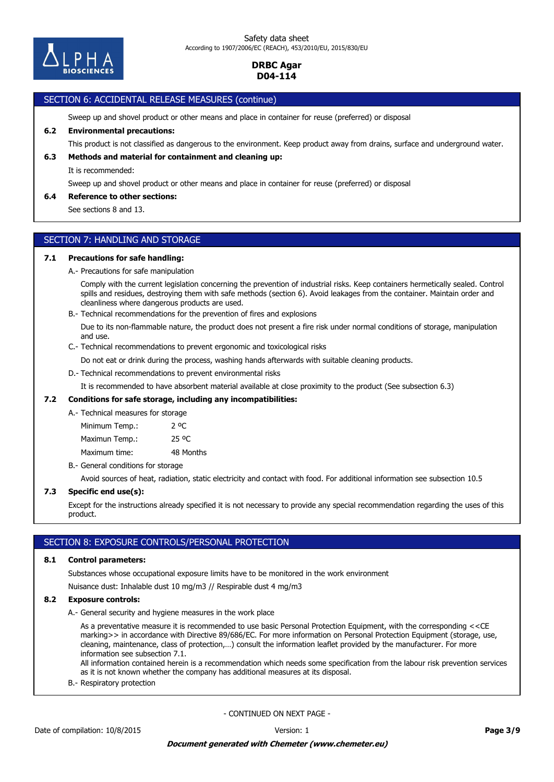

# SECTION 6: ACCIDENTAL RELEASE MEASURES (continue)

Sweep up and shovel product or other means and place in container for reuse (preferred) or disposal

### **6.2 Environmental precautions:**

This product is not classified as dangerous to the environment. Keep product away from drains, surface and underground water.

# **6.3 Methods and material for containment and cleaning up:**

It is recommended:

Sweep up and shovel product or other means and place in container for reuse (preferred) or disposal

### **6.4 Reference to other sections:**

See sections 8 and 13.

# SECTION 7: HANDLING AND STORAGE

### **7.1 Precautions for safe handling:**

A.- Precautions for safe manipulation

Comply with the current legislation concerning the prevention of industrial risks. Keep containers hermetically sealed. Control spills and residues, destroying them with safe methods (section 6). Avoid leakages from the container. Maintain order and cleanliness where dangerous products are used.

B.- Technical recommendations for the prevention of fires and explosions

Due to its non-flammable nature, the product does not present a fire risk under normal conditions of storage, manipulation and use.

C.- Technical recommendations to prevent ergonomic and toxicological risks

Do not eat or drink during the process, washing hands afterwards with suitable cleaning products.

D.- Technical recommendations to prevent environmental risks

It is recommended to have absorbent material available at close proximity to the product (See subsection 6.3)

#### **7.2 Conditions for safe storage, including any incompatibilities:**

A.- Technical measures for storage

Maximum time: 48 Months Maximun Temp.: 25 °C Minimum Temp.: 2 °C

B.- General conditions for storage

Avoid sources of heat, radiation, static electricity and contact with food. For additional information see subsection 10.5

#### **7.3 Specific end use(s):**

Except for the instructions already specified it is not necessary to provide any special recommendation regarding the uses of this product.

### SECTION 8: EXPOSURE CONTROLS/PERSONAL PROTECTION

#### **8.1 Control parameters:**

Substances whose occupational exposure limits have to be monitored in the work environment

Nuisance dust: Inhalable dust 10 mg/m3 // Respirable dust 4 mg/m3

### **8.2 Exposure controls:**

A.- General security and hygiene measures in the work place

As a preventative measure it is recommended to use basic Personal Protection Equipment, with the corresponding <<CE marking>> in accordance with Directive 89/686/EC. For more information on Personal Protection Equipment (storage, use, cleaning, maintenance, class of protection,…) consult the information leaflet provided by the manufacturer. For more information see subsection 7.1.

All information contained herein is a recommendation which needs some specification from the labour risk prevention services as it is not known whether the company has additional measures at its disposal.

B.- Respiratory protection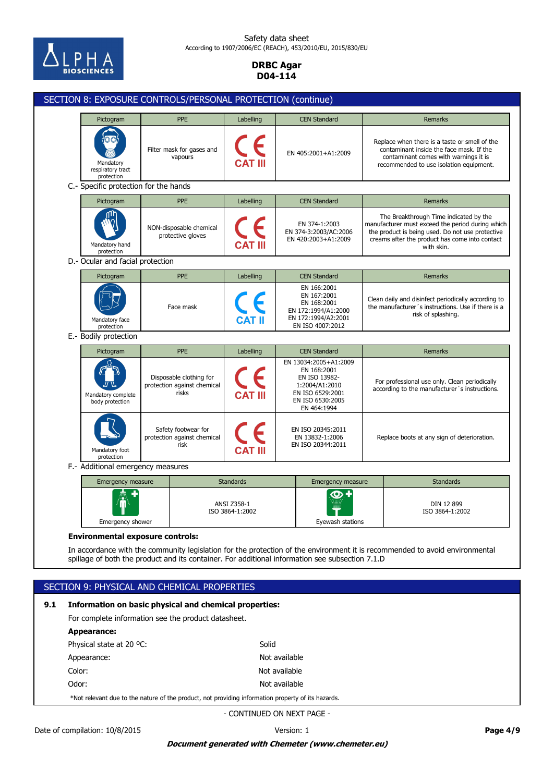

### Safety data sheet According to 1907/2006/EC (REACH), 453/2010/EU, 2015/830/EU

### **DRBC Agar D04-114**

|     | SECTION 8: EXPOSURE CONTROLS/PERSONAL PROTECTION (continue)                                                                                                                                                                                                               |                                           |                                                            |                                                                                                             |                                                                                                                                 |                        |                                                                                                                                |                                                                                                |                                                                                                                                                                                                                |  |
|-----|---------------------------------------------------------------------------------------------------------------------------------------------------------------------------------------------------------------------------------------------------------------------------|-------------------------------------------|------------------------------------------------------------|-------------------------------------------------------------------------------------------------------------|---------------------------------------------------------------------------------------------------------------------------------|------------------------|--------------------------------------------------------------------------------------------------------------------------------|------------------------------------------------------------------------------------------------|----------------------------------------------------------------------------------------------------------------------------------------------------------------------------------------------------------------|--|
|     |                                                                                                                                                                                                                                                                           | Pictogram                                 |                                                            | <b>PPE</b>                                                                                                  | Labelling                                                                                                                       |                        | <b>CEN Standard</b>                                                                                                            |                                                                                                | Remarks                                                                                                                                                                                                        |  |
|     | Mandatory<br>respiratory tract<br>protection                                                                                                                                                                                                                              |                                           |                                                            | Filter mask for gases and<br>vapours                                                                        |                                                                                                                                 |                        | EN 405:2001+A1:2009                                                                                                            |                                                                                                | Replace when there is a taste or smell of the<br>contaminant inside the face mask. If the<br>contaminant comes with warnings it is<br>recommended to use isolation equipment.                                  |  |
|     |                                                                                                                                                                                                                                                                           | C.- Specific protection for the hands     |                                                            |                                                                                                             |                                                                                                                                 |                        |                                                                                                                                |                                                                                                |                                                                                                                                                                                                                |  |
|     |                                                                                                                                                                                                                                                                           | Pictogram                                 |                                                            | <b>PPE</b>                                                                                                  | Labelling                                                                                                                       |                        | <b>CEN Standard</b>                                                                                                            |                                                                                                | <b>Remarks</b>                                                                                                                                                                                                 |  |
|     |                                                                                                                                                                                                                                                                           | Mandatory hand<br>protection              |                                                            | NON-disposable chemical<br>protective gloves                                                                |                                                                                                                                 |                        | EN 374-1:2003<br>EN 374-3:2003/AC:2006<br>EN 420:2003+A1:2009                                                                  |                                                                                                | The Breakthrough Time indicated by the<br>manufacturer must exceed the period during which<br>the product is being used. Do not use protective<br>creams after the product has come into contact<br>with skin. |  |
|     |                                                                                                                                                                                                                                                                           | D.- Ocular and facial protection          |                                                            |                                                                                                             |                                                                                                                                 |                        |                                                                                                                                |                                                                                                |                                                                                                                                                                                                                |  |
|     |                                                                                                                                                                                                                                                                           | Pictogram                                 |                                                            | PPE                                                                                                         | Labelling                                                                                                                       |                        | <b>CEN Standard</b>                                                                                                            |                                                                                                | <b>Remarks</b>                                                                                                                                                                                                 |  |
|     |                                                                                                                                                                                                                                                                           | Face mask<br>Mandatory face<br>protection |                                                            | EN 166:2001<br>EN 167:2001<br>EN 168:2001<br>EN 172:1994/A1:2000<br>EN 172:1994/A2:2001<br>EN ISO 4007:2012 | Clean daily and disinfect periodically according to<br>the manufacturer's instructions. Use if there is a<br>risk of splashing. |                        |                                                                                                                                |                                                                                                |                                                                                                                                                                                                                |  |
|     |                                                                                                                                                                                                                                                                           | E.- Bodily protection                     |                                                            |                                                                                                             |                                                                                                                                 |                        |                                                                                                                                |                                                                                                |                                                                                                                                                                                                                |  |
|     |                                                                                                                                                                                                                                                                           | Pictogram                                 |                                                            | PPE                                                                                                         | Labelling                                                                                                                       |                        | <b>CEN Standard</b>                                                                                                            |                                                                                                | <b>Remarks</b>                                                                                                                                                                                                 |  |
|     |                                                                                                                                                                                                                                                                           | Mandatory complete<br>body protection     |                                                            | Disposable clothing for<br>protection against chemical<br>risks                                             | <b>CAT III</b>                                                                                                                  |                        | EN 13034:2005+A1:2009<br>EN 168:2001<br>EN ISO 13982-<br>1:2004/A1:2010<br>EN ISO 6529:2001<br>EN ISO 6530:2005<br>EN 464:1994 | For professional use only. Clean periodically<br>according to the manufacturer's instructions. |                                                                                                                                                                                                                |  |
|     |                                                                                                                                                                                                                                                                           | Mandatory foot<br>protection              | Safety footwear for<br>protection against chemical<br>risk |                                                                                                             |                                                                                                                                 |                        | EN ISO 20345:2011<br>EN 13832-1:2006<br>EN ISO 20344:2011                                                                      |                                                                                                | Replace boots at any sign of deterioration.                                                                                                                                                                    |  |
|     |                                                                                                                                                                                                                                                                           | F.- Additional emergency measures         |                                                            |                                                                                                             |                                                                                                                                 |                        |                                                                                                                                |                                                                                                |                                                                                                                                                                                                                |  |
|     |                                                                                                                                                                                                                                                                           | <b>Emergency measure</b>                  |                                                            | <b>Standards</b>                                                                                            |                                                                                                                                 |                        | <b>Emergency measure</b>                                                                                                       |                                                                                                | <b>Standards</b>                                                                                                                                                                                               |  |
|     | Emergency shower                                                                                                                                                                                                                                                          |                                           | ANSI Z358-1<br>ISO 3864-1:2002                             |                                                                                                             |                                                                                                                                 | க+<br>Eyewash stations |                                                                                                                                | DIN 12 899<br>ISO 3864-1:2002                                                                  |                                                                                                                                                                                                                |  |
|     | <b>Environmental exposure controls:</b><br>In accordance with the community legislation for the protection of the environment it is recommended to avoid environmental<br>spillage of both the product and its container. For additional information see subsection 7.1.D |                                           |                                                            |                                                                                                             |                                                                                                                                 |                        |                                                                                                                                |                                                                                                |                                                                                                                                                                                                                |  |
|     | SECTION 9: PHYSICAL AND CHEMICAL PROPERTIES                                                                                                                                                                                                                               |                                           |                                                            |                                                                                                             |                                                                                                                                 |                        |                                                                                                                                |                                                                                                |                                                                                                                                                                                                                |  |
|     |                                                                                                                                                                                                                                                                           |                                           |                                                            |                                                                                                             |                                                                                                                                 |                        |                                                                                                                                |                                                                                                |                                                                                                                                                                                                                |  |
| 9.1 | Information on basic physical and chemical properties:<br>For complete information see the product datasheet.                                                                                                                                                             |                                           |                                                            |                                                                                                             |                                                                                                                                 |                        |                                                                                                                                |                                                                                                |                                                                                                                                                                                                                |  |
|     |                                                                                                                                                                                                                                                                           |                                           |                                                            |                                                                                                             |                                                                                                                                 |                        |                                                                                                                                |                                                                                                |                                                                                                                                                                                                                |  |
|     | <b>Appearance:</b><br>Physical state at 20 °C:<br>Solid                                                                                                                                                                                                                   |                                           |                                                            |                                                                                                             |                                                                                                                                 |                        |                                                                                                                                |                                                                                                |                                                                                                                                                                                                                |  |
|     | Not available<br>Appearance:                                                                                                                                                                                                                                              |                                           |                                                            |                                                                                                             |                                                                                                                                 |                        |                                                                                                                                |                                                                                                |                                                                                                                                                                                                                |  |
|     | Color:<br>Not available                                                                                                                                                                                                                                                   |                                           |                                                            |                                                                                                             |                                                                                                                                 |                        |                                                                                                                                |                                                                                                |                                                                                                                                                                                                                |  |
|     | Odor:<br>Not available                                                                                                                                                                                                                                                    |                                           |                                                            |                                                                                                             |                                                                                                                                 |                        |                                                                                                                                |                                                                                                |                                                                                                                                                                                                                |  |
|     |                                                                                                                                                                                                                                                                           |                                           |                                                            |                                                                                                             |                                                                                                                                 |                        |                                                                                                                                |                                                                                                |                                                                                                                                                                                                                |  |

\*Not relevant due to the nature of the product, not providing information property of its hazards.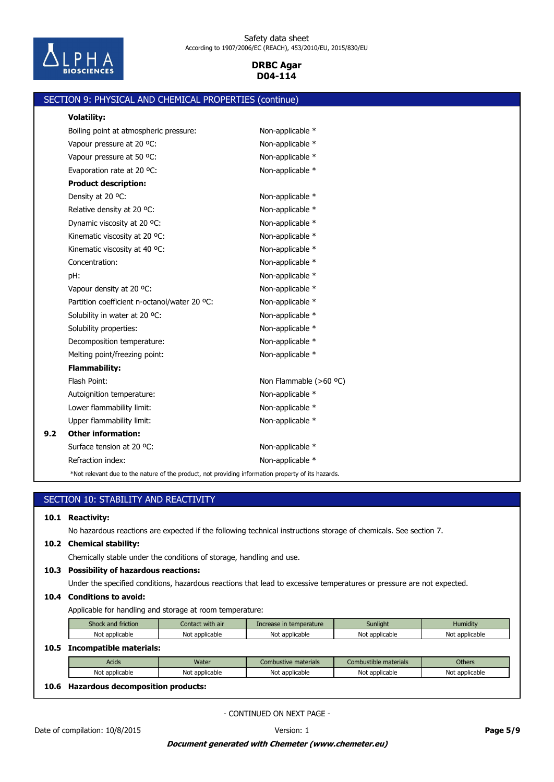

|     | SECTION 9: PHYSICAL AND CHEMICAL PROPERTIES (continue)                                             |                        |
|-----|----------------------------------------------------------------------------------------------------|------------------------|
|     | <b>Volatility:</b>                                                                                 |                        |
|     | Boiling point at atmospheric pressure:                                                             | Non-applicable *       |
|     | Vapour pressure at 20 °C:                                                                          | Non-applicable *       |
|     | Vapour pressure at 50 °C:                                                                          | Non-applicable *       |
|     | Evaporation rate at 20 °C:                                                                         | Non-applicable *       |
|     | <b>Product description:</b>                                                                        |                        |
|     | Density at 20 °C:                                                                                  | Non-applicable *       |
|     | Relative density at 20 °C:                                                                         | Non-applicable *       |
|     | Dynamic viscosity at 20 °C:                                                                        | Non-applicable *       |
|     | Kinematic viscosity at 20 °C:                                                                      | Non-applicable *       |
|     | Kinematic viscosity at 40 °C:                                                                      | Non-applicable *       |
|     | Concentration:                                                                                     | Non-applicable *       |
|     | pH:                                                                                                | Non-applicable *       |
|     | Vapour density at 20 °C:                                                                           | Non-applicable *       |
|     | Partition coefficient n-octanol/water 20 °C:                                                       | Non-applicable *       |
|     | Solubility in water at 20 °C:                                                                      | Non-applicable *       |
|     | Solubility properties:                                                                             | Non-applicable *       |
|     | Decomposition temperature:                                                                         | Non-applicable *       |
|     | Melting point/freezing point:                                                                      | Non-applicable *       |
|     | <b>Flammability:</b>                                                                               |                        |
|     | Flash Point:                                                                                       | Non Flammable (>60 °C) |
|     | Autoignition temperature:                                                                          | Non-applicable *       |
|     | Lower flammability limit:                                                                          | Non-applicable *       |
|     | Upper flammability limit:                                                                          | Non-applicable *       |
| 9.2 | <b>Other information:</b>                                                                          |                        |
|     | Surface tension at 20 °C:                                                                          | Non-applicable *       |
|     | Refraction index:                                                                                  | Non-applicable *       |
|     | *Not relevant due to the nature of the product, not providing information property of its hazards. |                        |

| 10.1         | <b>Reactivity:</b>                                                                                                    |                  |                         |                       |                |  |  |  |  |
|--------------|-----------------------------------------------------------------------------------------------------------------------|------------------|-------------------------|-----------------------|----------------|--|--|--|--|
|              | No hazardous reactions are expected if the following technical instructions storage of chemicals. See section 7.      |                  |                         |                       |                |  |  |  |  |
| 10.2         | <b>Chemical stability:</b>                                                                                            |                  |                         |                       |                |  |  |  |  |
|              | Chemically stable under the conditions of storage, handling and use.                                                  |                  |                         |                       |                |  |  |  |  |
| 10.3         | <b>Possibility of hazardous reactions:</b>                                                                            |                  |                         |                       |                |  |  |  |  |
|              | Under the specified conditions, hazardous reactions that lead to excessive temperatures or pressure are not expected. |                  |                         |                       |                |  |  |  |  |
|              | <b>Conditions to avoid:</b>                                                                                           |                  |                         |                       |                |  |  |  |  |
|              |                                                                                                                       |                  |                         |                       |                |  |  |  |  |
|              | Applicable for handling and storage at room temperature:                                                              |                  |                         |                       |                |  |  |  |  |
|              | Shock and friction                                                                                                    | Contact with air | Increase in temperature | Sunlight              | Humidity       |  |  |  |  |
|              | Not applicable                                                                                                        | Not applicable   | Not applicable          | Not applicable        | Not applicable |  |  |  |  |
|              | <b>Incompatible materials:</b>                                                                                        |                  |                         |                       |                |  |  |  |  |
|              | Acids                                                                                                                 | Water            | Combustive materials    | Combustible materials | <b>Others</b>  |  |  |  |  |
| 10.4<br>10.5 | Not applicable                                                                                                        | Not applicable   | Not applicable          | Not applicable        | Not applicable |  |  |  |  |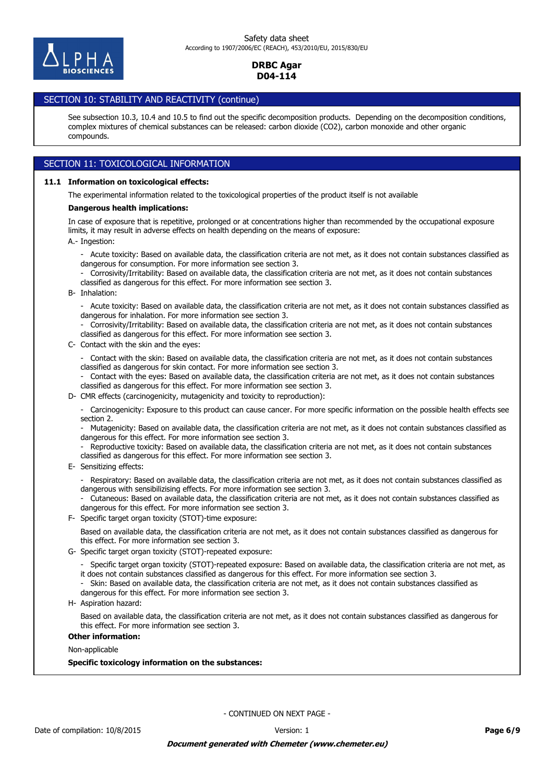

# SECTION 10: STABILITY AND REACTIVITY (continue)

See subsection 10.3, 10.4 and 10.5 to find out the specific decomposition products. Depending on the decomposition conditions, complex mixtures of chemical substances can be released: carbon dioxide (CO2), carbon monoxide and other organic compounds.

# SECTION 11: TOXICOLOGICAL INFORMATION

#### **11.1 Information on toxicological effects:**

The experimental information related to the toxicological properties of the product itself is not available

#### **Dangerous health implications:**

A.- Ingestion: In case of exposure that is repetitive, prolonged or at concentrations higher than recommended by the occupational exposure limits, it may result in adverse effects on health depending on the means of exposure:

- Acute toxicity: Based on available data, the classification criteria are not met, as it does not contain substances classified as dangerous for consumption. For more information see section 3.
- Corrosivity/Irritability: Based on available data, the classification criteria are not met, as it does not contain substances classified as dangerous for this effect. For more information see section 3.
- B- Inhalation:

- Acute toxicity: Based on available data, the classification criteria are not met, as it does not contain substances classified as dangerous for inhalation. For more information see section 3.

- Corrosivity/Irritability: Based on available data, the classification criteria are not met, as it does not contain substances classified as dangerous for this effect. For more information see section 3.

C- Contact with the skin and the eyes:

- Contact with the skin: Based on available data, the classification criteria are not met, as it does not contain substances classified as dangerous for skin contact. For more information see section 3.

- Contact with the eyes: Based on available data, the classification criteria are not met, as it does not contain substances classified as dangerous for this effect. For more information see section 3.

D- CMR effects (carcinogenicity, mutagenicity and toxicity to reproduction):

- Carcinogenicity: Exposure to this product can cause cancer. For more specific information on the possible health effects see section 2.

- Mutagenicity: Based on available data, the classification criteria are not met, as it does not contain substances classified as dangerous for this effect. For more information see section 3.

Reproductive toxicity: Based on available data, the classification criteria are not met, as it does not contain substances classified as dangerous for this effect. For more information see section 3.

E- Sensitizing effects:

- Respiratory: Based on available data, the classification criteria are not met, as it does not contain substances classified as dangerous with sensibilizising effects. For more information see section 3.

- Cutaneous: Based on available data, the classification criteria are not met, as it does not contain substances classified as dangerous for this effect. For more information see section 3.

F- Specific target organ toxicity (STOT)-time exposure:

Based on available data, the classification criteria are not met, as it does not contain substances classified as dangerous for this effect. For more information see section 3.

- G- Specific target organ toxicity (STOT)-repeated exposure:
	- Specific target organ toxicity (STOT)-repeated exposure: Based on available data, the classification criteria are not met, as it does not contain substances classified as dangerous for this effect. For more information see section 3.
	- Skin: Based on available data, the classification criteria are not met, as it does not contain substances classified as
	- dangerous for this effect. For more information see section 3.
- H- Aspiration hazard:

Based on available data, the classification criteria are not met, as it does not contain substances classified as dangerous for this effect. For more information see section 3.

# **Other information:**

Non-applicable

**Specific toxicology information on the substances:**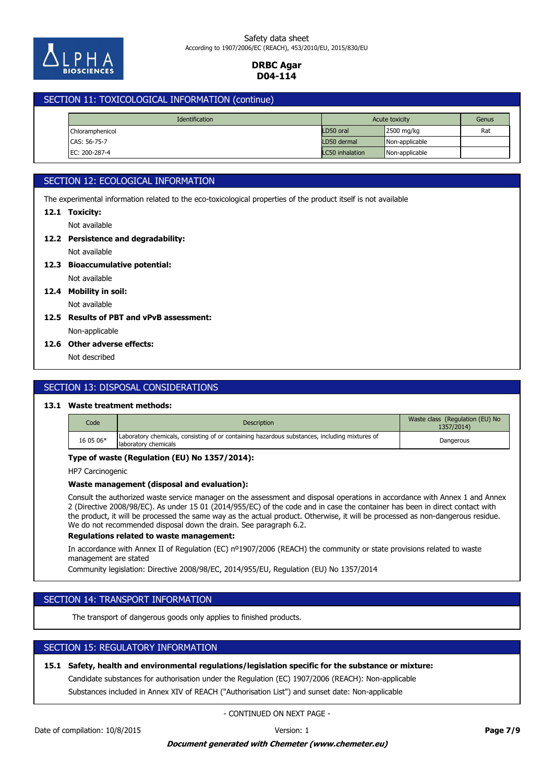

### SECTION 11: TOXICOLOGICAL INFORMATION (continue)

| <b>Identification</b> |  | Acute toxicity  |                | Genus |
|-----------------------|--|-----------------|----------------|-------|
| Chloramphenicol       |  | LD50 oral       | 2500 mg/kg     | Rat   |
| CAS: 56-75-7          |  | LD50 dermal     | Non-applicable |       |
| EC: 200-287-4         |  | LC50 inhalation | Non-applicable |       |

# SECTION 12: ECOLOGICAL INFORMATION

The experimental information related to the eco-toxicological properties of the product itself is not available

#### **12.1 Toxicity:**

Not available

# **12.2 Persistence and degradability:**

Not available

### Not available **12.3 Bioaccumulative potential:**

**12.4 Mobility in soil:**

# Not available

### Non-applicable **12.5 Results of PBT and vPvB assessment:**

### **12.6 Other adverse effects:**

Not described

# SECTION 13: DISPOSAL CONSIDERATIONS

### **13.1 Waste treatment methods:**

| Code      | Description                                                                                                           | Waste class (Regulation (EU) No<br>1357/2014) |
|-----------|-----------------------------------------------------------------------------------------------------------------------|-----------------------------------------------|
| 16 05 06* | Laboratory chemicals, consisting of or containing hazardous substances, including mixtures of<br>laboratory chemicals | Dangerous                                     |

#### **Type of waste (Regulation (EU) No 1357/2014):**

HP7 Carcinogenic

#### **Waste management (disposal and evaluation):**

Consult the authorized waste service manager on the assessment and disposal operations in accordance with Annex 1 and Annex 2 (Directive 2008/98/EC). As under 15 01 (2014/955/EC) of the code and in case the container has been in direct contact with the product, it will be processed the same way as the actual product. Otherwise, it will be processed as non-dangerous residue. We do not recommended disposal down the drain. See paragraph 6.2.

#### **Regulations related to waste management:**

In accordance with Annex II of Regulation (EC) nº1907/2006 (REACH) the community or state provisions related to waste management are stated

Community legislation: Directive 2008/98/EC, 2014/955/EU, Regulation (EU) No 1357/2014

# SECTION 14: TRANSPORT INFORMATION

The transport of dangerous goods only applies to finished products.

# SECTION 15: REGULATORY INFORMATION

### **15.1 Safety, health and environmental regulations/legislation specific for the substance or mixture:**

Candidate substances for authorisation under the Regulation (EC) 1907/2006 (REACH): Non-applicable

Substances included in Annex XIV of REACH ("Authorisation List") and sunset date: Non-applicable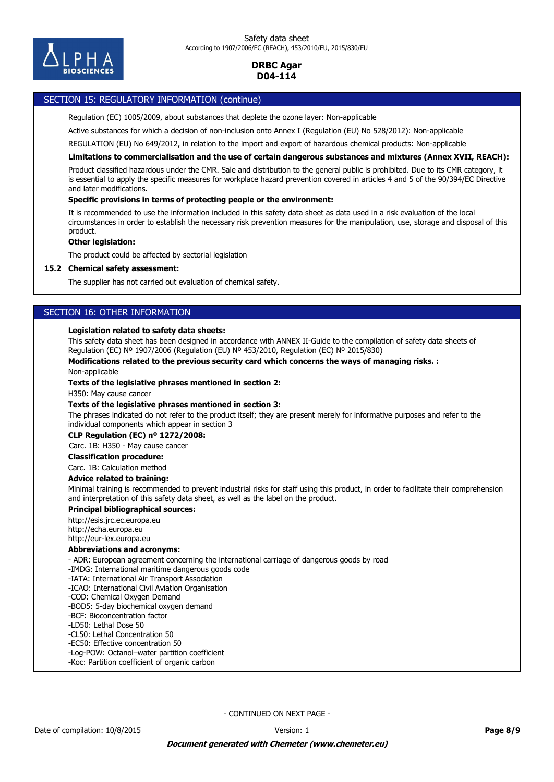

### SECTION 15: REGULATORY INFORMATION (continue)

Regulation (EC) 1005/2009, about substances that deplete the ozone layer: Non-applicable

Active substances for which a decision of non-inclusion onto Annex I (Regulation (EU) No 528/2012): Non-applicable

REGULATION (EU) No 649/2012, in relation to the import and export of hazardous chemical products: Non-applicable

**Limitations to commercialisation and the use of certain dangerous substances and mixtures (Annex XVII, REACH):**

Product classified hazardous under the CMR. Sale and distribution to the general public is prohibited. Due to its CMR category, it is essential to apply the specific measures for workplace hazard prevention covered in articles 4 and 5 of the 90/394/EC Directive and later modifications.

#### **Specific provisions in terms of protecting people or the environment:**

It is recommended to use the information included in this safety data sheet as data used in a risk evaluation of the local circumstances in order to establish the necessary risk prevention measures for the manipulation, use, storage and disposal of this product.

#### **Other legislation:**

The product could be affected by sectorial legislation

#### **15.2 Chemical safety assessment:**

The supplier has not carried out evaluation of chemical safety.

### SECTION 16: OTHER INFORMATION

#### **Legislation related to safety data sheets:**

This safety data sheet has been designed in accordance with ANNEX II-Guide to the compilation of safety data sheets of Regulation (EC) Nº 1907/2006 (Regulation (EU) Nº 453/2010, Regulation (EC) Nº 2015/830)

#### **Modifications related to the previous security card which concerns the ways of managing risks. :**

Non-applicable

#### **Texts of the legislative phrases mentioned in section 2:**

H350: May cause cancer

#### **Texts of the legislative phrases mentioned in section 3:**

The phrases indicated do not refer to the product itself; they are present merely for informative purposes and refer to the individual components which appear in section 3

#### **CLP Regulation (EC) nº 1272/2008:**

Carc. 1B: H350 - May cause cancer

#### **Classification procedure:**

Carc. 1B: Calculation method

#### **Advice related to training:**

Minimal training is recommended to prevent industrial risks for staff using this product, in order to facilitate their comprehension and interpretation of this safety data sheet, as well as the label on the product.

#### **Principal bibliographical sources:**

http://esis.jrc.ec.europa.eu

http://echa.europa.eu http://eur-lex.europa.eu

### **Abbreviations and acronyms:**

- ADR: European agreement concerning the international carriage of dangerous goods by road

- -IMDG: International maritime dangerous goods code
- -IATA: International Air Transport Association
- -ICAO: International Civil Aviation Organisation
- -COD: Chemical Oxygen Demand
- -BOD5: 5-day biochemical oxygen demand
- -BCF: Bioconcentration factor
- -LD50: Lethal Dose 50
- -CL50: Lethal Concentration 50
- -EC50: Effective concentration 50
- -Log-POW: Octanol–water partition coefficient
- -Koc: Partition coefficient of organic carbon